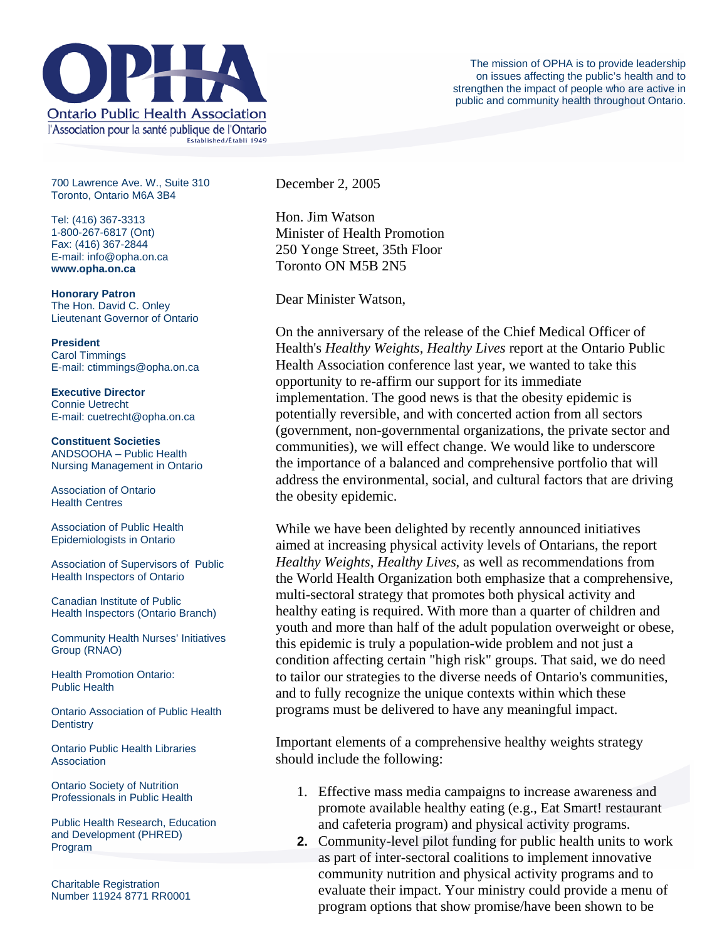

700 Lawrence Ave. W., Suite 310 Toronto, Ontario M6A 3B4

Tel: (416) 367-3313 1-800-267-6817 (Ont) Fax: (416) 367-2844 E-mail: info@opha.on.ca **www.opha.on.ca** 

**Honorary Patron**  The Hon. David C. Onley Lieutenant Governor of Ontario

**President**  Carol Timmings E-mail: ctimmings@opha.on.ca

**Executive Director**  Connie Uetrecht E-mail: cuetrecht@opha.on.ca

**Constituent Societies**  ANDSOOHA – Public Health Nursing Management in Ontario

Association of Ontario Health Centres

Association of Public Health Epidemiologists in Ontario

Association of Supervisors of Public Health Inspectors of Ontario

Canadian Institute of Public Health Inspectors (Ontario Branch)

Community Health Nurses' Initiatives Group (RNAO)

Health Promotion Ontario: Public Health

Ontario Association of Public Health **Dentistry** 

Ontario Public Health Libraries **Association** 

Ontario Society of Nutrition Professionals in Public Health

Public Health Research, Education and Development (PHRED) Program

Charitable Registration Number 11924 8771 RR0001 December 2, 2005

Hon. Jim Watson Minister of Health Promotion 250 Yonge Street, 35th Floor Toronto ON M5B 2N5

Dear Minister Watson,

On the anniversary of the release of the Chief Medical Officer of Health's *Healthy Weights, Healthy Lives* report at the Ontario Public Health Association conference last year, we wanted to take this opportunity to re-affirm our support for its immediate implementation. The good news is that the obesity epidemic is potentially reversible, and with concerted action from all sectors (government, non-governmental organizations, the private sector and communities), we will effect change. We would like to underscore the importance of a balanced and comprehensive portfolio that will address the environmental, social, and cultural factors that are driving the obesity epidemic.

While we have been delighted by recently announced initiatives aimed at increasing physical activity levels of Ontarians, the report *Healthy Weights, Healthy Lives*, as well as recommendations from the World Health Organization both emphasize that a comprehensive, multi-sectoral strategy that promotes both physical activity and healthy eating is required. With more than a quarter of children and youth and more than half of the adult population overweight or obese, this epidemic is truly a population-wide problem and not just a condition affecting certain "high risk" groups. That said, we do need to tailor our strategies to the diverse needs of Ontario's communities, and to fully recognize the unique contexts within which these programs must be delivered to have any meaningful impact.

Important elements of a comprehensive healthy weights strategy should include the following:

- 1. Effective mass media campaigns to increase awareness and promote available healthy eating (e.g., Eat Smart! restaurant and cafeteria program) and physical activity programs.
- **2.** Community-level pilot funding for public health units to work as part of inter-sectoral coalitions to implement innovative community nutrition and physical activity programs and to evaluate their impact. Your ministry could provide a menu of program options that show promise/have been shown to be